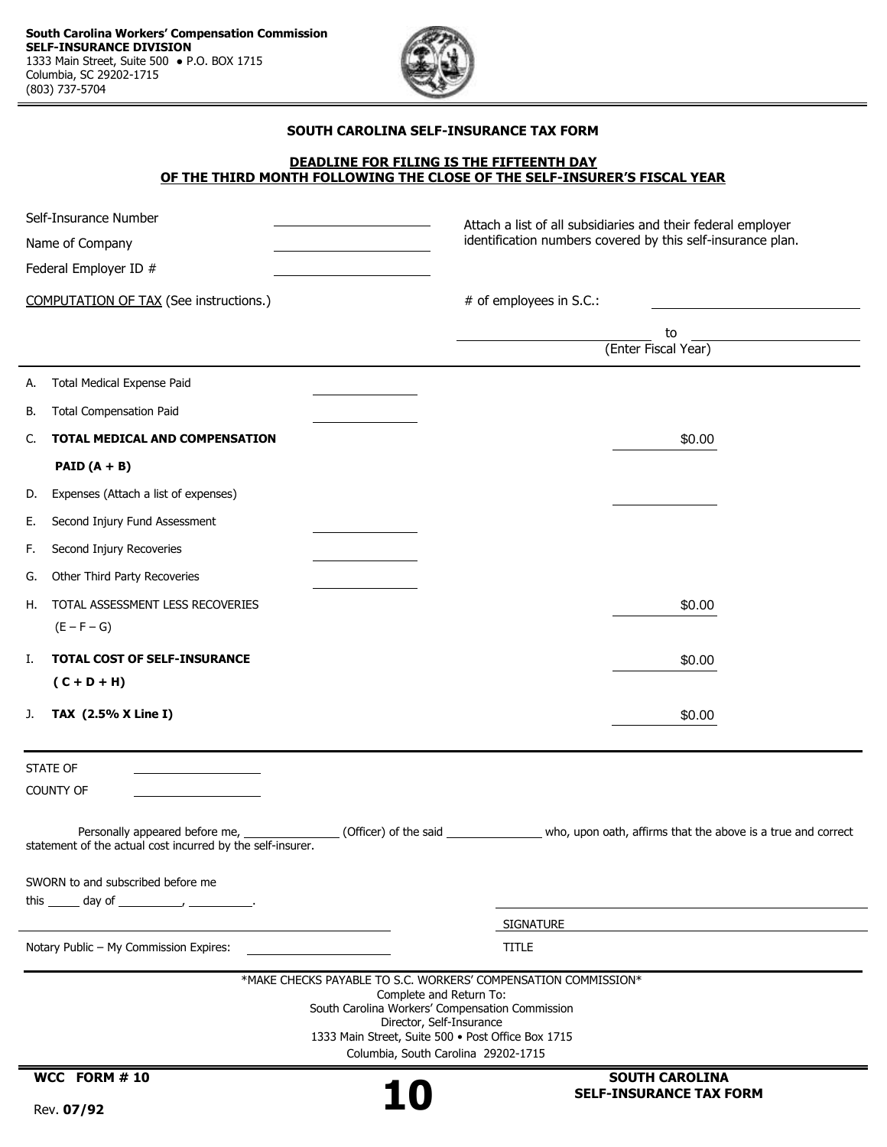

#### **SOUTH CAROLINA SELF-INSURANCE TAX FORM**

#### **DEADLINE FOR FILING IS THE FIFTEENTH DAY OF THE THIRD MONTH FOLLOWING THE CLOSE OF THE SELF-INSURER'S FISCAL YEAR**

| Self-Insurance Number<br>Name of Company                                                       | Attach a list of all subsidiaries and their federal employer<br>identification numbers covered by this self-insurance plan.                                                                                                                                           |
|------------------------------------------------------------------------------------------------|-----------------------------------------------------------------------------------------------------------------------------------------------------------------------------------------------------------------------------------------------------------------------|
| Federal Employer ID #                                                                          |                                                                                                                                                                                                                                                                       |
| <b>COMPUTATION OF TAX (See instructions.)</b>                                                  | # of employees in S.C.:                                                                                                                                                                                                                                               |
|                                                                                                | to                                                                                                                                                                                                                                                                    |
|                                                                                                | (Enter Fiscal Year)                                                                                                                                                                                                                                                   |
| <b>Total Medical Expense Paid</b><br>А.                                                        |                                                                                                                                                                                                                                                                       |
| <b>Total Compensation Paid</b><br>В.                                                           |                                                                                                                                                                                                                                                                       |
| TOTAL MEDICAL AND COMPENSATION<br>C.                                                           | \$0.00                                                                                                                                                                                                                                                                |
| PAID $(A + B)$                                                                                 |                                                                                                                                                                                                                                                                       |
| Expenses (Attach a list of expenses)<br>D.                                                     |                                                                                                                                                                                                                                                                       |
| Second Injury Fund Assessment<br>Е.                                                            |                                                                                                                                                                                                                                                                       |
| Second Injury Recoveries<br>F.                                                                 |                                                                                                                                                                                                                                                                       |
| Other Third Party Recoveries<br>G.                                                             |                                                                                                                                                                                                                                                                       |
| TOTAL ASSESSMENT LESS RECOVERIES<br>Н.                                                         | \$0.00                                                                                                                                                                                                                                                                |
| $(E - F - G)$                                                                                  |                                                                                                                                                                                                                                                                       |
| <b>TOTAL COST OF SELF-INSURANCE</b><br>Ι.                                                      | \$0.00                                                                                                                                                                                                                                                                |
| $(C + D + H)$                                                                                  |                                                                                                                                                                                                                                                                       |
| TAX (2.5% X Line I)<br>J.                                                                      | \$0.00                                                                                                                                                                                                                                                                |
| <b>STATE OF</b><br>COUNTY OF                                                                   |                                                                                                                                                                                                                                                                       |
| Personally appeared before me, _<br>statement of the actual cost incurred by the self-insurer. | (Officer) of the said ___________________ who, upon oath, affirms that the above is a true and correct                                                                                                                                                                |
| SWORN to and subscribed before me                                                              |                                                                                                                                                                                                                                                                       |
|                                                                                                |                                                                                                                                                                                                                                                                       |
| Notary Public - My Commission Expires:                                                         | <b>SIGNATURE</b><br><b>TITLE</b>                                                                                                                                                                                                                                      |
|                                                                                                |                                                                                                                                                                                                                                                                       |
|                                                                                                | *MAKE CHECKS PAYABLE TO S.C. WORKERS' COMPENSATION COMMISSION*<br>Complete and Return To:<br>South Carolina Workers' Compensation Commission<br>Director, Self-Insurance<br>1333 Main Street, Suite 500 · Post Office Box 1715<br>Columbia, South Carolina 29202-1715 |
| WCC FORM #10                                                                                   | <b>SOUTH CAROLINA</b>                                                                                                                                                                                                                                                 |

J.